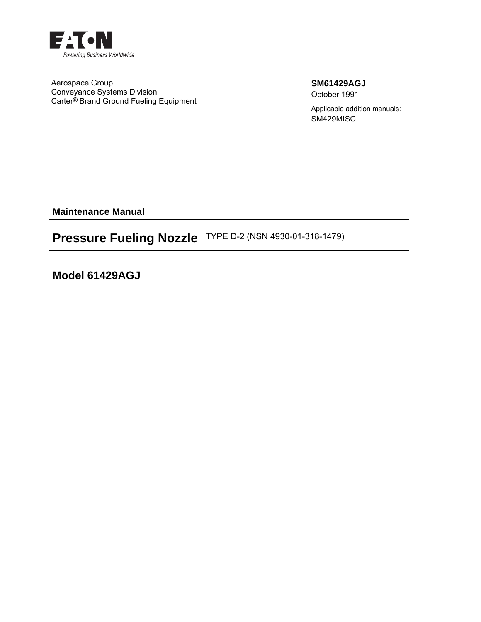

Aerospace Group Conveyance Systems Division Carter® Brand Ground Fueling Equipment **SM61429AGJ** October 1991

Applicable addition manuals: SM429MISC

**Maintenance Manual** 

# **Pressure Fueling Nozzle** TYPE D-2 (NSN 4930-01-318-1479)

**Model 61429AGJ**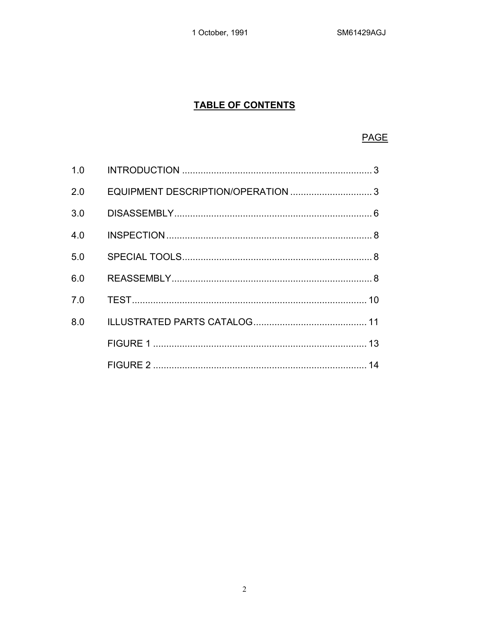1 October, 1991

## **TABLE OF CONTENTS**

## **PAGE**

| 1.0 |  |
|-----|--|
| 2.0 |  |
| 3.0 |  |
| 4.0 |  |
| 5.0 |  |
| 6.0 |  |
| 7.0 |  |
| 8.0 |  |
|     |  |
|     |  |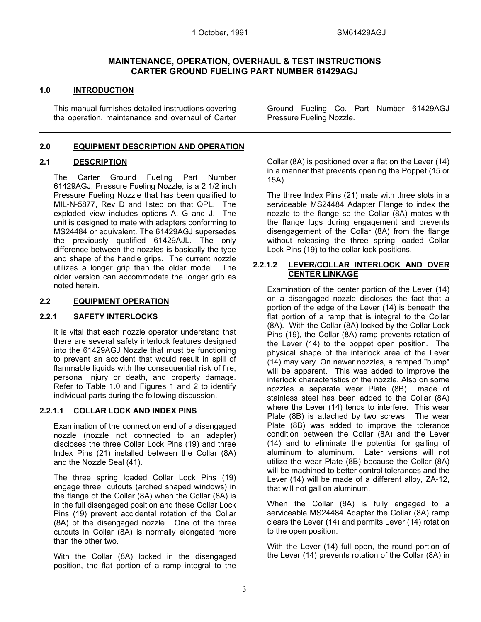#### **MAINTENANCE, OPERATION, OVERHAUL & TEST INSTRUCTIONS CARTER GROUND FUELING PART NUMBER 61429AGJ**

#### **1.0 INTRODUCTION**

 This manual furnishes detailed instructions covering the operation, maintenance and overhaul of Carter

#### **2.0 EQUIPMENT DESCRIPTION AND OPERATION**

#### **2.1 DESCRIPTION**

 The Carter Ground Fueling Part Number 61429AGJ, Pressure Fueling Nozzle, is a 2 1/2 inch Pressure Fueling Nozzle that has been qualified to MIL-N-5877, Rev D and listed on that QPL. The exploded view includes options A, G and J. The unit is designed to mate with adapters conforming to MS24484 or equivalent. The 61429AGJ supersedes the previously qualified 61429AJL. The only difference between the nozzles is basically the type and shape of the handle grips. The current nozzle utilizes a longer grip than the older model. The older version can accommodate the longer grip as noted herein.

#### **2.2 EQUIPMENT OPERATION**

#### **2.2.1 SAFETY INTERLOCKS**

 It is vital that each nozzle operator understand that there are several safety interlock features designed into the 61429AGJ Nozzle that must be functioning to prevent an accident that would result in spill of flammable liquids with the consequential risk of fire. personal injury or death, and property damage. Refer to Table 1.0 and Figures 1 and 2 to identify individual parts during the following discussion.

#### **2.2.1.1 COLLAR LOCK AND INDEX PINS**

 Examination of the connection end of a disengaged nozzle (nozzle not connected to an adapter) discloses the three Collar Lock Pins (19) and three Index Pins (21) installed between the Collar (8A) and the Nozzle Seal (41).

 The three spring loaded Collar Lock Pins (19) engage three cutouts (arched shaped windows) in the flange of the Collar (8A) when the Collar (8A) is in the full disengaged position and these Collar Lock Pins (19) prevent accidental rotation of the Collar (8A) of the disengaged nozzle. One of the three cutouts in Collar (8A) is normally elongated more than the other two.

 With the Collar (8A) locked in the disengaged position, the flat portion of a ramp integral to the Ground Fueling Co. Part Number 61429AGJ Pressure Fueling Nozzle.

Collar (8A) is positioned over a flat on the Lever (14) in a manner that prevents opening the Poppet (15 or 15A).

 The three Index Pins (21) mate with three slots in a serviceable MS24484 Adapter Flange to index the nozzle to the flange so the Collar (8A) mates with the flange lugs during engagement and prevents disengagement of the Collar (8A) from the flange without releasing the three spring loaded Collar Lock Pins (19) to the collar lock positions.

#### **2.2.1.2 LEVER/COLLAR INTERLOCK AND OVER CENTER LINKAGE**

 Examination of the center portion of the Lever (14) on a disengaged nozzle discloses the fact that a portion of the edge of the Lever (14) is beneath the flat portion of a ramp that is integral to the Collar (8A). With the Collar (8A) locked by the Collar Lock Pins (19), the Collar (8A) ramp prevents rotation of the Lever (14) to the poppet open position. The physical shape of the interlock area of the Lever (14) may vary. On newer nozzles, a ramped "bump" will be apparent. This was added to improve the interlock characteristics of the nozzle. Also on some nozzles a separate wear Plate (8B) made of stainless steel has been added to the Collar (8A) where the Lever (14) tends to interfere. This wear Plate (8B) is attached by two screws. The wear Plate (8B) was added to improve the tolerance condition between the Collar (8A) and the Lever (14) and to eliminate the potential for galling of aluminum to aluminum. Later versions will not utilize the wear Plate (8B) because the Collar (8A) will be machined to better control tolerances and the Lever (14) will be made of a different alloy, ZA-12, that will not gall on aluminum.

 When the Collar (8A) is fully engaged to a serviceable MS24484 Adapter the Collar (8A) ramp clears the Lever (14) and permits Lever (14) rotation to the open position.

 With the Lever (14) full open, the round portion of the Lever (14) prevents rotation of the Collar (8A) in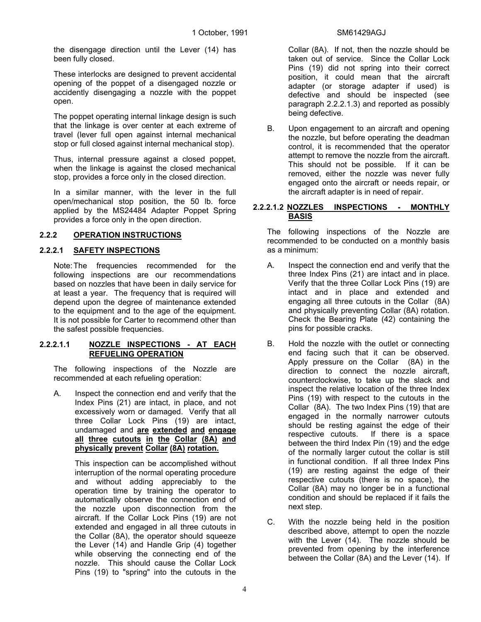the disengage direction until the Lever (14) has been fully closed.

 These interlocks are designed to prevent accidental opening of the poppet of a disengaged nozzle or accidently disengaging a nozzle with the poppet open.

 The poppet operating internal linkage design is such that the linkage is over center at each extreme of travel (lever full open against internal mechanical stop or full closed against internal mechanical stop).

 Thus, internal pressure against a closed poppet, when the linkage is against the closed mechanical stop, provides a force only in the closed direction.

 In a similar manner, with the lever in the full open/mechanical stop position, the 50 lb. force applied by the MS24484 Adapter Poppet Spring provides a force only in the open direction.

#### **2.2.2 OPERATION INSTRUCTIONS**

#### **2.2.2.1 SAFETY INSPECTIONS**

 Note: The frequencies recommended for the following inspections are our recommendations based on nozzles that have been in daily service for at least a year. The frequency that is required will depend upon the degree of maintenance extended to the equipment and to the age of the equipment. It is not possible for Carter to recommend other than the safest possible frequencies.

#### **2.2.2.1.1 NOZZLE INSPECTIONS - AT EACH REFUELING OPERATION**

 The following inspections of the Nozzle are recommended at each refueling operation:

A. Inspect the connection end and verify that the Index Pins (21) are intact, in place, and not excessively worn or damaged. Verify that all three Collar Lock Pins (19) are intact, undamaged and **are extended and engage all three cutouts in the Collar (8A) and physically prevent Collar (8A) rotation.**

> This inspection can be accomplished without interruption of the normal operating procedure and without adding appreciably to the operation time by training the operator to automatically observe the connection end of the nozzle upon disconnection from the aircraft. If the Collar Lock Pins (19) are not extended and engaged in all three cutouts in the Collar (8A), the operator should squeeze the Lever (14) and Handle Grip (4) together while observing the connecting end of the nozzle. This should cause the Collar Lock Pins (19) to "spring" into the cutouts in the

Collar (8A). If not, then the nozzle should be taken out of service. Since the Collar Lock Pins (19) did not spring into their correct position, it could mean that the aircraft adapter (or storage adapter if used) is defective and should be inspected (see paragraph 2.2.2.1.3) and reported as possibly being defective.

B. Upon engagement to an aircraft and opening the nozzle, but before operating the deadman control, it is recommended that the operator attempt to remove the nozzle from the aircraft. This should not be possible. If it can be removed, either the nozzle was never fully engaged onto the aircraft or needs repair, or the aircraft adapter is in need of repair.

#### **2.2.2.1.2 NOZZLES INSPECTIONS - MONTHLY BASIS**

 The following inspections of the Nozzle are recommended to be conducted on a monthly basis as a minimum:

- A. Inspect the connection end and verify that the three Index Pins (21) are intact and in place. Verify that the three Collar Lock Pins (19) are intact and in place and extended and engaging all three cutouts in the Collar (8A) and physically preventing Collar (8A) rotation. Check the Bearing Plate (42) containing the pins for possible cracks.
- B. Hold the nozzle with the outlet or connecting end facing such that it can be observed. Apply pressure on the Collar (8A) in the direction to connect the nozzle aircraft, counterclockwise, to take up the slack and inspect the relative location of the three Index Pins (19) with respect to the cutouts in the Collar (8A). The two Index Pins (19) that are engaged in the normally narrower cutouts should be resting against the edge of their respective cutouts. If there is a space between the third Index Pin (19) and the edge of the normally larger cutout the collar is still in functional condition. If all three Index Pins (19) are resting against the edge of their respective cutouts (there is no space), the Collar (8A) may no longer be in a functional condition and should be replaced if it fails the next step.
- C. With the nozzle being held in the position described above, attempt to open the nozzle with the Lever (14). The nozzle should be prevented from opening by the interference between the Collar (8A) and the Lever (14). If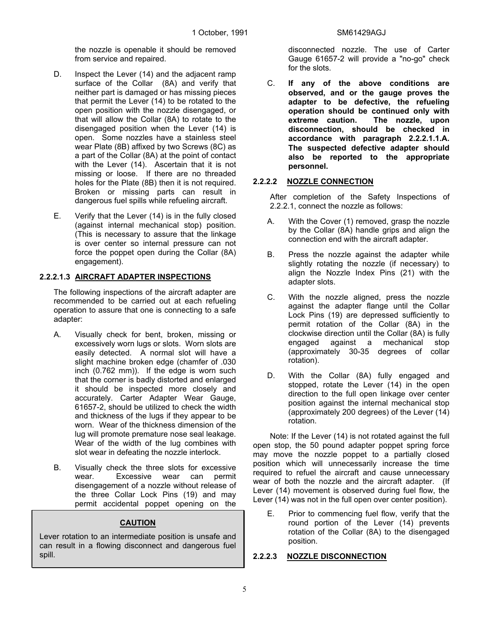the nozzle is openable it should be removed from service and repaired.

- D. Inspect the Lever (14) and the adjacent ramp surface of the Collar (8A) and verify that neither part is damaged or has missing pieces that permit the Lever (14) to be rotated to the open position with the nozzle disengaged, or that will allow the Collar (8A) to rotate to the disengaged position when the Lever (14) is open. Some nozzles have a stainless steel wear Plate (8B) affixed by two Screws (8C) as a part of the Collar (8A) at the point of contact with the Lever (14). Ascertain that it is not missing or loose. If there are no threaded holes for the Plate (8B) then it is not required. Broken or missing parts can result in dangerous fuel spills while refueling aircraft.
- E. Verify that the Lever (14) is in the fully closed (against internal mechanical stop) position. (This is necessary to assure that the linkage is over center so internal pressure can not force the poppet open during the Collar (8A) engagement).

#### **2.2.2.1.3 AIRCRAFT ADAPTER INSPECTIONS**

 The following inspections of the aircraft adapter are recommended to be carried out at each refueling operation to assure that one is connecting to a safe adapter:

- A. Visually check for bent, broken, missing or excessively worn lugs or slots. Worn slots are easily detected. A normal slot will have a slight machine broken edge (chamfer of .030 inch (0.762 mm)). If the edge is worn such that the corner is badly distorted and enlarged it should be inspected more closely and accurately. Carter Adapter Wear Gauge, 61657-2, should be utilized to check the width and thickness of the lugs if they appear to be worn. Wear of the thickness dimension of the lug will promote premature nose seal leakage. Wear of the width of the lug combines with slot wear in defeating the nozzle interlock.
- B. Visually check the three slots for excessive wear. Excessive wear can permit disengagement of a nozzle without release of the three Collar Lock Pins (19) and may permit accidental poppet opening on the

#### **CAUTION**

Lever rotation to an intermediate position is unsafe and can result in a flowing disconnect and dangerous fuel spill.

disconnected nozzle. The use of Carter Gauge 61657-2 will provide a "no-go" check for the slots.

C. **If any of the above conditions are observed, and or the gauge proves the adapter to be defective, the refueling operation should be continued only with extreme caution. The nozzle, upon disconnection, should be checked in accordance with paragraph 2.2.2.1.1.A. The suspected defective adapter should also be reported to the appropriate personnel.** 

#### **2.2.2.2 NOZZLE CONNECTION**

 After completion of the Safety Inspections of 2.2.2.1, connect the nozzle as follows:

- A. With the Cover (1) removed, grasp the nozzle by the Collar (8A) handle grips and align the connection end with the aircraft adapter.
- B. Press the nozzle against the adapter while slightly rotating the nozzle (if necessary) to align the Nozzle Index Pins (21) with the adapter slots.
- C. With the nozzle aligned, press the nozzle against the adapter flange until the Collar Lock Pins (19) are depressed sufficiently to permit rotation of the Collar (8A) in the clockwise direction until the Collar (8A) is fully engaged against a mechanical stop (approximately 30-35 degrees of collar rotation).
- D. With the Collar (8A) fully engaged and stopped, rotate the Lever (14) in the open direction to the full open linkage over center position against the internal mechanical stop (approximately 200 degrees) of the Lever (14) rotation.

 Note: If the Lever (14) is not rotated against the full open stop, the 50 pound adapter poppet spring force may move the nozzle poppet to a partially closed position which will unnecessarily increase the time required to refuel the aircraft and cause unnecessary wear of both the nozzle and the aircraft adapter. (If Lever (14) movement is observed during fuel flow, the Lever (14) was not in the full open over center position).

E. Prior to commencing fuel flow, verify that the round portion of the Lever (14) prevents rotation of the Collar (8A) to the disengaged position.

#### **2.2.2.3 NOZZLE DISCONNECTION**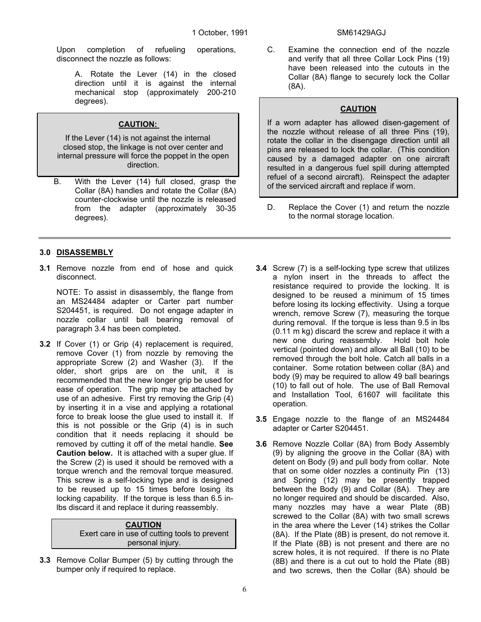Upon completion of refueling operations, disconnect the nozzle as follows:

 A. Rotate the Lever (14) in the closed direction until it is against the internal mechanical stop (approximately 200-210 degrees).

#### **CAUTION:**

If the Lever (14) is not against the internal closed stop, the linkage is not over center and internal pressure will force the poppet in the open direction.

B. With the Lever (14) full closed, grasp the Collar (8A) handles and rotate the Collar (8A) counter-clockwise until the nozzle is released from the adapter (approximately 30-35 degrees).

#### **3.0 DISASSEMBLY**

**3.1** Remove nozzle from end of hose and quick disconnect.

 NOTE: To assist in disassembly, the flange from an MS24484 adapter or Carter part number S204451, is required. Do not engage adapter in nozzle collar until ball bearing removal of paragraph 3.4 has been completed.

**3.2** If Cover (1) or Grip (4) replacement is required, remove Cover (1) from nozzle by removing the appropriate Screw (2) and Washer (3). If the older, short grips are on the unit, it is recommended that the new longer grip be used for ease of operation. The grip may be attached by use of an adhesive. First try removing the Grip (4) by inserting it in a vise and applying a rotational force to break loose the glue used to install it. If this is not possible or the Grip (4) is in such condition that it needs replacing it should be removed by cutting it off of the metal handle. **See Caution below.** It is attached with a super glue. If the Screw (2) is used it should be removed with a torque wrench and the removal torque measured. This screw is a self-locking type and is designed to be reused up to 15 times before losing its locking capability. If the torque is less than 6.5 inlbs discard it and replace it during reassembly.

| <b>CAUTION</b>                                |
|-----------------------------------------------|
| Exert care in use of cutting tools to prevent |
| personal injury.                              |

**3.3** Remove Collar Bumper (5) by cutting through the bumper only if required to replace.

C. Examine the connection end of the nozzle and verify that all three Collar Lock Pins (19) have been released into the cutouts in the Collar (8A) flange to securely lock the Collar (8A).

### **CAUTION**

If a worn adapter has allowed disen-gagement of the nozzle without release of all three Pins (19), rotate the collar in the disengage direction until all pins are released to lock the collar. (This condition caused by a damaged adapter on one aircraft resulted in a dangerous fuel spill during attempted refuel of a second aircraft). Reinspect the adapter of the serviced aircraft and replace if worn.

- D. Replace the Cover (1) and return the nozzle to the normal storage location.
- **3.4** Screw (7) is a self-locking type screw that utilizes a nylon insert in the threads to affect the resistance required to provide the locking. It is designed to be reused a minimum of 15 times before losing its locking effectivity. Using a torque wrench, remove Screw (7), measuring the torque during removal. If the torque is less than 9.5 in lbs (0.11 m kg) discard the screw and replace it with a new one during reassembly. Hold bolt hole vertical (pointed down) and allow all Ball (10) to be removed through the bolt hole. Catch all balls in a container. Some rotation between collar (8A) and body (9) may be required to allow 49 ball bearings (10) to fall out of hole. The use of Ball Removal and Installation Tool, 61607 will facilitate this operation.
- **3.5** Engage nozzle to the flange of an MS24484 adapter or Carter S204451.
- **3.6** Remove Nozzle Collar (8A) from Body Assembly (9) by aligning the groove in the Collar (8A) with detent on Body (9) and pull body from collar. Note that on some older nozzles a continuity Pin (13) and Spring (12) may be presently trapped between the Body (9) and Collar (8A). They are no longer required and should be discarded. Also, many nozzles may have a wear Plate (8B) screwed to the Collar (8A) with two small screws in the area where the Lever (14) strikes the Collar (8A). If the Plate (8B) is present, do not remove it. If the Plate (8B) is not present and there are no screw holes, it is not required. If there is no Plate (8B) and there is a cut out to hold the Plate (8B) and two screws, then the Collar (8A) should be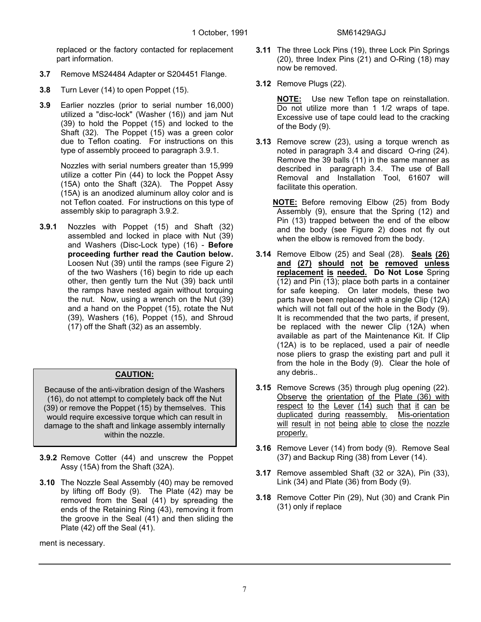replaced or the factory contacted for replacement part information.

- **3.7** Remove MS24484 Adapter or S204451 Flange.
- **3.8** Turn Lever (14) to open Poppet (15).
- **3.9** Earlier nozzles (prior to serial number 16,000) utilized a "disc-lock" (Washer (16)) and jam Nut (39) to hold the Poppet (15) and locked to the Shaft (32). The Poppet (15) was a green color due to Teflon coating. For instructions on this type of assembly proceed to paragraph 3.9.1.

 Nozzles with serial numbers greater than 15,999 utilize a cotter Pin (44) to lock the Poppet Assy (15A) onto the Shaft (32A). The Poppet Assy (15A) is an anodized aluminum alloy color and is not Teflon coated. For instructions on this type of assembly skip to paragraph 3.9.2.

**3.9.1** Nozzles with Poppet (15) and Shaft (32) assembled and locked in place with Nut (39) and Washers (Disc-Lock type) (16) - **Before proceeding further read the Caution below.**  Loosen Nut (39) until the ramps (see Figure 2) of the two Washers (16) begin to ride up each other, then gently turn the Nut (39) back until the ramps have nested again without torquing the nut. Now, using a wrench on the Nut (39) and a hand on the Poppet (15), rotate the Nut (39), Washers (16), Poppet (15), and Shroud (17) off the Shaft (32) as an assembly.

### **CAUTION:**

Because of the anti-vibration design of the Washers (16), do not attempt to completely back off the Nut (39) or remove the Poppet (15) by themselves. This would require excessive torque which can result in damage to the shaft and linkage assembly internally within the nozzle.

- **3.9.2** Remove Cotter (44) and unscrew the Poppet Assy (15A) from the Shaft (32A).
- **3.10** The Nozzle Seal Assembly (40) may be removed by lifting off Body (9). The Plate (42) may be removed from the Seal (41) by spreading the ends of the Retaining Ring (43), removing it from the groove in the Seal (41) and then sliding the Plate (42) off the Seal (41).

ment is necessary.

- **3.11** The three Lock Pins (19), three Lock Pin Springs (20), three Index Pins (21) and O-Ring (18) may now be removed.
- **3.12** Remove Plugs (22).

**NOTE:** Use new Teflon tape on reinstallation. Do not utilize more than 1 1/2 wraps of tape. Excessive use of tape could lead to the cracking of the Body (9).

- **3.13** Remove screw (23), using a torque wrench as noted in paragraph 3.4 and discard O-ring (24). Remove the 39 balls (11) in the same manner as described in paragraph 3.4. The use of Ball Removal and Installation Tool, 61607 will facilitate this operation.
	- **NOTE:** Before removing Elbow (25) from Body Assembly (9), ensure that the Spring (12) and Pin (13) trapped between the end of the elbow and the body (see Figure 2) does not fly out when the elbow is removed from the body.
- **3.14** Remove Elbow (25) and Seal (28). **Seals (26) and (27) should not be removed unless replacement is needed. Do Not Lose** Spring (12) and Pin (13); place both parts in a container for safe keeping. On later models, these two parts have been replaced with a single Clip (12A) which will not fall out of the hole in the Body (9). It is recommended that the two parts, if present, be replaced with the newer Clip (12A) when available as part of the Maintenance Kit. If Clip (12A) is to be replaced, used a pair of needle nose pliers to grasp the existing part and pull it from the hole in the Body (9). Clear the hole of any debris..
- **3.15** Remove Screws (35) through plug opening (22). Observe the orientation of the Plate (36) with respect to the Lever (14) such that it can be duplicated during reassembly. Mis-orientation will result in not being able to close the nozzle properly.
- **3.16** Remove Lever (14) from body (9). Remove Seal (37) and Backup Ring (38) from Lever (14).
- **3.17** Remove assembled Shaft (32 or 32A), Pin (33), Link (34) and Plate (36) from Body (9).
- **3.18** Remove Cotter Pin (29), Nut (30) and Crank Pin (31) only if replace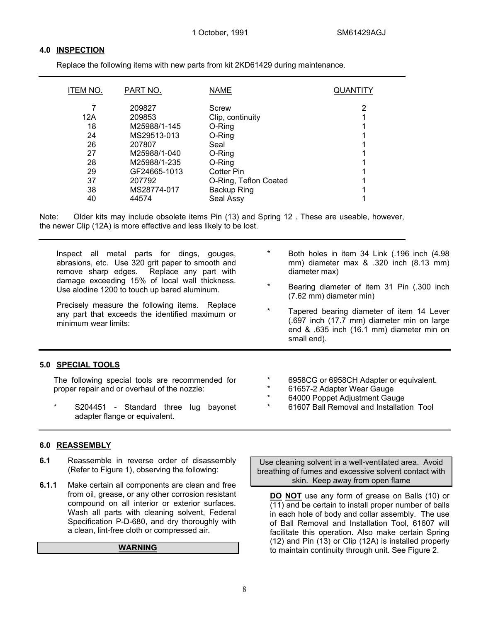#### **4.0 INSPECTION**

Replace the following items with new parts from kit 2KD61429 during maintenance.

| <b>ITEM NO.</b> | PART NO.     | <b>NAME</b>           | QUANTITY |
|-----------------|--------------|-----------------------|----------|
|                 | 209827       | Screw                 | 2        |
| 12A             | 209853       | Clip, continuity      |          |
| 18              | M25988/1-145 | O-Ring                |          |
| 24              | MS29513-013  | O-Ring                |          |
| 26              | 207807       | Seal                  |          |
| 27              | M25988/1-040 | O-Ring                |          |
| 28              | M25988/1-235 | O-Ring                |          |
| 29              | GF24665-1013 | <b>Cotter Pin</b>     |          |
| 37              | 207792       | O-Ring, Teflon Coated |          |
| 38              | MS28774-017  | Backup Ring           |          |
| 40              | 44574        | Seal Assy             |          |

Note: Older kits may include obsolete items Pin (13) and Spring 12 . These are useable, however, the newer Clip (12A) is more effective and less likely to be lost.

| Inspect all metal parts for dings, gouges,                                                                                | $\star$                    | Both holes in item 34 Link (.196 inch (4.98)                                                                                                        |
|---------------------------------------------------------------------------------------------------------------------------|----------------------------|-----------------------------------------------------------------------------------------------------------------------------------------------------|
| abrasions, etc. Use 320 grit paper to smooth and<br>remove sharp edges. Replace any part with                             |                            | mm) diameter max & .320 inch (8.13 mm)<br>diameter max)                                                                                             |
| damage exceeding 15% of local wall thickness.<br>Use alodine 1200 to touch up bared aluminum.                             | $\star$                    | Bearing diameter of item 31 Pin (.300 inch<br>(7.62 mm) diameter min)                                                                               |
| Precisely measure the following items. Replace<br>any part that exceeds the identified maximum or<br>minimum wear limits: | $\star$                    | Tapered bearing diameter of item 14 Lever<br>(.697 inch (17.7 mm) diameter min on large<br>end & .635 inch (16.1 mm) diameter min on<br>small end). |
| 5.0 SPECIAL TOOLS                                                                                                         |                            |                                                                                                                                                     |
| The following special tools are recommended for<br>proper repair and or overhaul of the nozzle:                           | $\ast$<br>$\ast$<br>$\ast$ | 6958CG or 6958CH Adapter or equivalent.<br>61657-2 Adapter Wear Gauge<br>64000 Poppet Adjustment Gauge                                              |
| $\star$<br>S204451 - Standard three<br>lug<br>adapter flange or equivalent.                                               | $\ast$<br>bayonet          | 61607 Ball Removal and Installation Tool                                                                                                            |

#### **6.0 REASSEMBLY**

- **6.1** Reassemble in reverse order of disassembly (Refer to Figure 1), observing the following:
- **6.1.1** Make certain all components are clean and free from oil, grease, or any other corrosion resistant compound on all interior or exterior surfaces. Wash all parts with cleaning solvent, Federal Specification P-D-680, and dry thoroughly with a clean, lint-free cloth or compressed air.

#### **WARNING**

Use cleaning solvent in a well-ventilated area. Avoid breathing of fumes and excessive solvent contact with skin. Keep away from open flame

**DO NOT** use any form of grease on Balls (10) or  $\overline{(11)}$  and be certain to install proper number of balls in each hole of body and collar assembly. The use of Ball Removal and Installation Tool, 61607 will facilitate this operation. Also make certain Spring (12) and Pin (13) or Clip (12A) is installed properly to maintain continuity through unit. See Figure 2.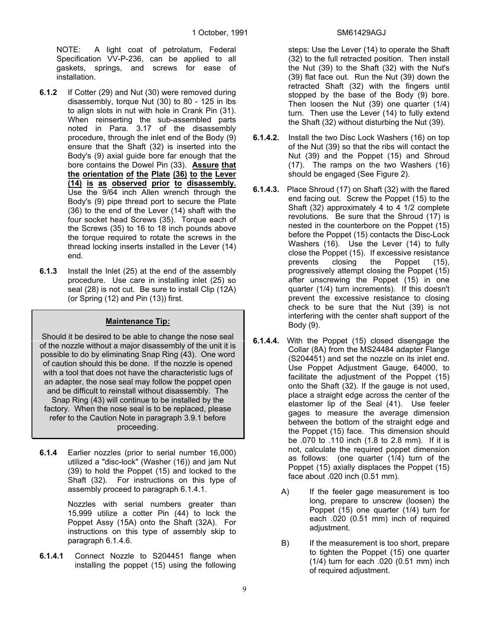NOTE: A light coat of petrolatum, Federal Specification VV-P-236, can be applied to all gaskets, springs, and screws for ease of installation.

- **6.1.2** If Cotter (29) and Nut (30) were removed during disassembly, torque Nut (30) to 80 - 125 in lbs to align slots in nut with hole in Crank Pin (31). When reinserting the sub-assembled parts noted in Para. 3.17 of the disassembly procedure, through the inlet end of the Body (9) ensure that the Shaft (32) is inserted into the Body's (9) axial guide bore far enough that the bore contains the Dowel Pin (33). **Assure that the orientation of the Plate (36) to the Lever (14) is as observed prior to disassembly.** Use the 9/64 inch Allen wrench through the Body's (9) pipe thread port to secure the Plate (36) to the end of the Lever (14) shaft with the four socket head Screws (35). Torque each of the Screws (35) to 16 to 18 inch pounds above the torque required to rotate the screws in the thread locking inserts installed in the Lever (14) end.
- **6.1.3** Install the Inlet (25) at the end of the assembly procedure. Use care in installing inlet (25) so seal (28) is not cut. Be sure to install Clip (12A) (or Spring (12) and Pin (13)) first.

#### **Maintenance Tip:**

Should it be desired to be able to change the nose seal of the nozzle without a major disassembly of the unit it is possible to do by eliminating Snap Ring (43). One word of caution should this be done. If the nozzle is opened with a tool that does not have the characteristic lugs of an adapter, the nose seal may follow the poppet open and be difficult to reinstall without disassembly. The Snap Ring (43) will continue to be installed by the factory. When the nose seal is to be replaced, please refer to the Caution Note in paragraph 3.9.1 before proceeding.

**6.1.4** Earlier nozzles (prior to serial number 16,000) utilized a "disc-lock" (Washer (16)) and jam Nut (39) to hold the Poppet (15) and locked to the Shaft (32). For instructions on this type of assembly proceed to paragraph 6.1.4.1.

> Nozzles with serial numbers greater than 15,999 utilize a cotter Pin (44) to lock the Poppet Assy (15A) onto the Shaft (32A). For instructions on this type of assembly skip to paragraph 6.1.4.6.

**6.1.4.1** Connect Nozzle to S204451 flange when installing the poppet (15) using the following steps: Use the Lever (14) to operate the Shaft (32) to the full retracted position. Then install the Nut (39) to the Shaft (32) with the Nut's (39) flat face out. Run the Nut (39) down the retracted Shaft (32) with the fingers until stopped by the base of the Body (9) bore. Then loosen the Nut (39) one quarter (1/4) turn. Then use the Lever (14) to fully extend the Shaft (32) without disturbing the Nut (39).

- **6.1.4.2.** Install the two Disc Lock Washers (16) on top of the Nut (39) so that the ribs will contact the Nut (39) and the Poppet (15) and Shroud (17). The ramps on the two Washers (16) should be engaged (See Figure 2).
- **6.1.4.3.** Place Shroud (17) on Shaft (32) with the flared end facing out. Screw the Poppet (15) to the Shaft (32) approximately 4 to 4 1/2 complete revolutions. Be sure that the Shroud (17) is nested in the counterbore on the Poppet (15) before the Poppet (15) contacts the Disc-Lock Washers (16). Use the Lever (14) to fully close the Poppet (15). If excessive resistance prevents closing the Poppet (15), progressively attempt closing the Poppet (15) after unscrewing the Poppet (15) in one quarter (1/4) turn increments). If this doesn't prevent the excessive resistance to closing check to be sure that the Nut (39) is not interfering with the center shaft support of the Body (9).
- **6.1.4.4.** With the Poppet (15) closed disengage the Collar (8A) from the MS24484 adapter Flange (S204451) and set the nozzle on its inlet end. Use Poppet Adjustment Gauge, 64000, to facilitate the adjustment of the Poppet (15) onto the Shaft (32). If the gauge is not used, place a straight edge across the center of the elastomer lip of the Seal (41). Use feeler gages to measure the average dimension between the bottom of the straight edge and the Poppet (15) face. This dimension should be .070 to .110 inch (1.8 to 2.8 mm). If it is not, calculate the required poppet dimension as follows: (one quarter (1/4) turn of the Poppet (15) axially displaces the Poppet (15) face about .020 inch (0.51 mm).
	- A) If the feeler gage measurement is too long, prepare to unscrew (loosen) the Poppet (15) one quarter (1/4) turn for each .020 (0.51 mm) inch of required adjustment.
	- B) If the measurement is too short, prepare to tighten the Poppet (15) one quarter (1/4) turn for each .020 (0.51 mm) inch of required adjustment.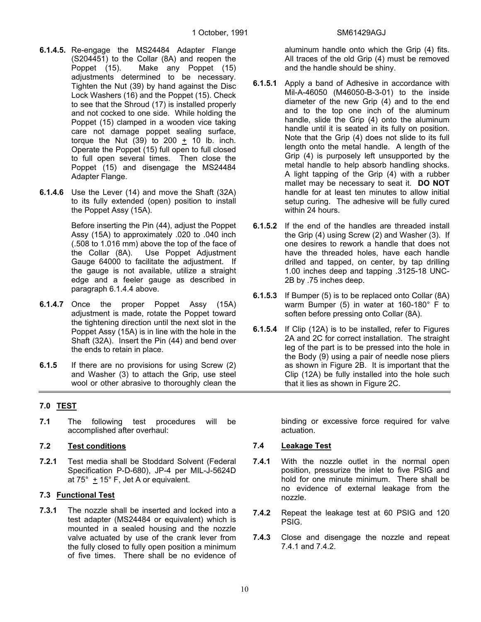- **6.1.4.5.** Re-engage the MS24484 Adapter Flange (S204451) to the Collar (8A) and reopen the Poppet (15). Make any Poppet (15) adjustments determined to be necessary. Tighten the Nut (39) by hand against the Disc Lock Washers (16) and the Poppet (15). Check to see that the Shroud (17) is installed properly and not cocked to one side. While holding the Poppet (15) clamped in a wooden vice taking care not damage poppet sealing surface, torque the Nut  $(39)$  to  $200 + 10$  lb. inch. Operate the Poppet (15) full open to full closed to full open several times. Then close the Poppet (15) and disengage the MS24484 Adapter Flange.
- **6.1.4.6** Use the Lever (14) and move the Shaft (32A) to its fully extended (open) position to install the Poppet Assy (15A).

Before inserting the Pin (44), adjust the Poppet Assy (15A) to approximately .020 to .040 inch (.508 to 1.016 mm) above the top of the face of the Collar (8A). Use Poppet Adjustment Gauge 64000 to facilitate the adjustment. If the gauge is not available, utilize a straight edge and a feeler gauge as described in paragraph 6.1.4.4 above.

- **6.1.4.7** Once the proper Poppet Assy (15A) adjustment is made, rotate the Poppet toward the tightening direction until the next slot in the Poppet Assy (15A) is in line with the hole in the Shaft (32A). Insert the Pin (44) and bend over the ends to retain in place.
- **6.1.5** If there are no provisions for using Screw (2) and Washer (3) to attach the Grip, use steel wool or other abrasive to thoroughly clean the

#### **7.0 TEST**

**7.1** The following test procedures will be accomplished after overhaul:

#### **7.2 Test conditions**

**7.2.1** Test media shall be Stoddard Solvent (Federal Specification P-D-680), JP-4 per MIL-J-5624D at 75 $^{\circ}$  + 15 $^{\circ}$  F, Jet A or equivalent.

#### **7.3 Functional Test**

**7.3.1** The nozzle shall be inserted and locked into a test adapter (MS24484 or equivalent) which is mounted in a sealed housing and the nozzle valve actuated by use of the crank lever from the fully closed to fully open position a minimum of five times. There shall be no evidence of

aluminum handle onto which the Grip (4) fits. All traces of the old Grip (4) must be removed and the handle should be shiny.

- **6.1.5.1** Apply a band of Adhesive in accordance with Mil-A-46050 (M46050-B-3-01) to the inside diameter of the new Grip (4) and to the end and to the top one inch of the aluminum handle, slide the Grip (4) onto the aluminum handle until it is seated in its fully on position. Note that the Grip (4) does not slide to its full length onto the metal handle. A length of the Grip (4) is purposely left unsupported by the metal handle to help absorb handling shocks. A light tapping of the Grip (4) with a rubber mallet may be necessary to seat it. **DO NOT** handle for at least ten minutes to allow initial setup curing. The adhesive will be fully cured within 24 hours.
- **6.1.5.2** If the end of the handles are threaded install the Grip (4) using Screw (2) and Washer (3). If one desires to rework a handle that does not have the threaded holes, have each handle drilled and tapped, on center, by tap drilling 1.00 inches deep and tapping .3125-18 UNC-2B by .75 inches deep.
- **6.1.5.3** If Bumper (5) is to be replaced onto Collar (8A) warm Bumper (5) in water at 160-180° F to soften before pressing onto Collar (8A).
- **6.1.5.4** If Clip (12A) is to be installed, refer to Figures 2A and 2C for correct installation. The straight leg of the part is to be pressed into the hole in the Body (9) using a pair of needle nose pliers as shown in Figure 2B. It is important that the Clip (12A) be fully installed into the hole such that it lies as shown in Figure 2C.

binding or excessive force required for valve actuation.

#### **7.4 Leakage Test**

- **7.4.1** With the nozzle outlet in the normal open position, pressurize the inlet to five PSIG and hold for one minute minimum. There shall be no evidence of external leakage from the nozzle.
- **7.4.2** Repeat the leakage test at 60 PSIG and 120 PSIG.
- **7.4.3** Close and disengage the nozzle and repeat 7.4.1 and 7.4.2.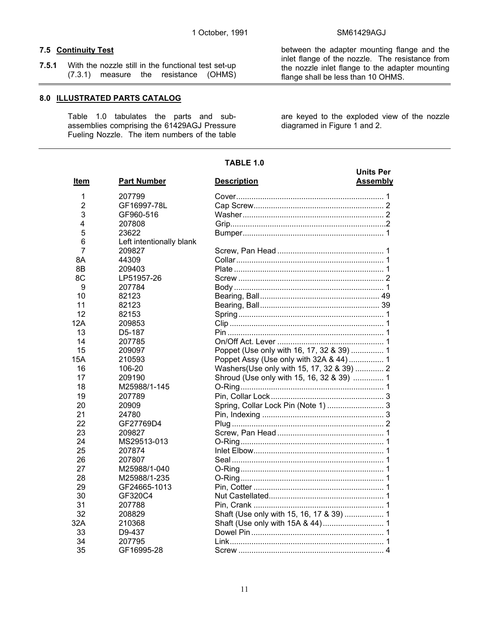between the adapter mounting flange and the inlet flange of the nozzle. The resistance from the nozzle inlet flange to the adapter mounting

flange shall be less than 10 OHMS.

#### **7.5 Continuity Test**

**7.5.1** With the nozzle still in the functional test set-up (7.3.1) measure the resistance (OHMS)

#### **8.0 ILLUSTRATED PARTS CATALOG**

 Table 1.0 tabulates the parts and subassemblies comprising the 61429AGJ Pressure Fueling Nozzle. The item numbers of the table are keyed to the exploded view of the nozzle diagramed in Figure 1 and 2.

#### **TABLE 1.0**

| Item |                | <b>Part Number</b>       | <b>Units Per</b><br><b>Description</b><br><b>Assembly</b> |  |  |
|------|----------------|--------------------------|-----------------------------------------------------------|--|--|
|      | 1              | 207799                   |                                                           |  |  |
|      | $\overline{2}$ | GF16997-78L              |                                                           |  |  |
|      | 3              | GF960-516                |                                                           |  |  |
|      | 4              | 207808                   |                                                           |  |  |
|      | 5              | 23622                    |                                                           |  |  |
|      | 6              | Left intentionally blank |                                                           |  |  |
|      | $\overline{7}$ | 209827                   |                                                           |  |  |
|      | 8Α             | 44309                    |                                                           |  |  |
|      | 8B             | 209403                   |                                                           |  |  |
|      | 8C             | LP51957-26               |                                                           |  |  |
|      | 9              | 207784                   |                                                           |  |  |
|      | 10             | 82123                    |                                                           |  |  |
|      | 11             | 82123                    |                                                           |  |  |
|      | 12             | 82153                    |                                                           |  |  |
|      | 12A            | 209853                   |                                                           |  |  |
|      | 13             | D <sub>5</sub> -187      |                                                           |  |  |
|      | 14             | 207785                   |                                                           |  |  |
|      | 15             | 209097                   | Poppet (Use only with 16, 17, 32 & 39)  1                 |  |  |
|      | 15A            | 210593                   | Poppet Assy (Use only with 32A & 44)  1                   |  |  |
|      | 16             | 106-20                   | Washers (Use only with 15, 17, 32 & 39)  2                |  |  |
|      | 17             | 209190                   | Shroud (Use only with 15, 16, 32 & 39)  1                 |  |  |
|      | 18             | M25988/1-145             |                                                           |  |  |
|      | 19             | 207789                   |                                                           |  |  |
|      | 20             | 20909                    |                                                           |  |  |
|      | 21             | 24780                    |                                                           |  |  |
|      | 22             | GF27769D4                |                                                           |  |  |
|      | 23             | 209827                   |                                                           |  |  |
|      | 24             | MS29513-013              |                                                           |  |  |
|      | 25             | 207874                   |                                                           |  |  |
|      | 26             | 207807                   |                                                           |  |  |
|      | 27             | M25988/1-040             |                                                           |  |  |
|      | 28             | M25988/1-235             |                                                           |  |  |
|      | 29             | GF24665-1013             |                                                           |  |  |
|      | 30             | GF320C4                  |                                                           |  |  |
|      | 31             | 207788                   |                                                           |  |  |
|      | 32             | 208829                   | Shaft (Use only with 15, 16, 17 & 39)  1                  |  |  |
|      | 32A            | 210368                   |                                                           |  |  |
|      | 33             | D9-437                   |                                                           |  |  |
|      | 34             | 207795                   |                                                           |  |  |
|      | 35             | GF16995-28               |                                                           |  |  |
|      |                |                          |                                                           |  |  |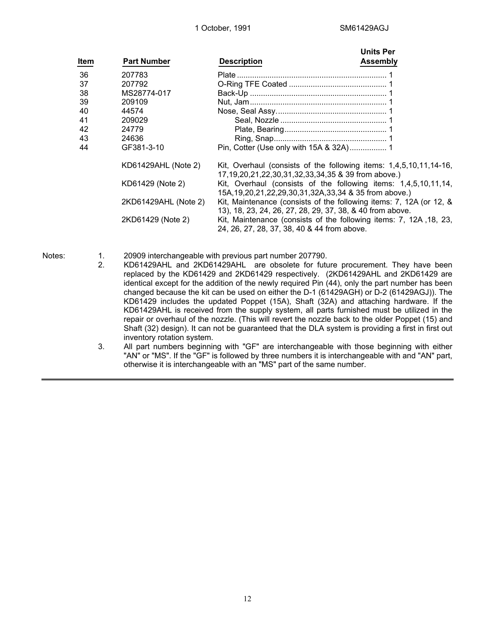| Item | <b>Part Number</b>   | <b>Description</b>                                                                                                                | <b>Units Per</b><br>Assembly |
|------|----------------------|-----------------------------------------------------------------------------------------------------------------------------------|------------------------------|
| 36   | 207783               |                                                                                                                                   |                              |
| 37   | 207792               |                                                                                                                                   |                              |
| 38   | MS28774-017          |                                                                                                                                   |                              |
| 39   | 209109               |                                                                                                                                   |                              |
| 40   | 44574                |                                                                                                                                   |                              |
| 41   | 209029               |                                                                                                                                   |                              |
| 42   | 24779                |                                                                                                                                   |                              |
| 43   | 24636                |                                                                                                                                   |                              |
| 44   | GF381-3-10           |                                                                                                                                   |                              |
|      | KD61429AHL (Note 2)  | Kit, Overhaul (consists of the following items: 1,4,5,10,11,14-16,<br>17,19,20,21,22,30,31,32,33,34,35 & 39 from above.)          |                              |
|      | KD61429 (Note 2)     | Kit, Overhaul (consists of the following items: 1,4,5,10,11,14,<br>15A, 19, 20, 21, 22, 29, 30, 31, 32A, 33, 34 & 35 from above.) |                              |
|      | 2KD61429AHL (Note 2) | Kit, Maintenance (consists of the following items: 7, 12A (or 12, &<br>13), 18, 23, 24, 26, 27, 28, 29, 37, 38, & 40 from above.  |                              |
|      | 2KD61429 (Note 2)    | Kit, Maintenance (consists of the following items: 7, 12A, 18, 23,<br>24, 26, 27, 28, 37, 38, 40 & 44 from above.                 |                              |

Notes: 1. 20909 interchangeable with previous part number 207790.

- 2. KD61429AHL and 2KD61429AHL are obsolete for future procurement. They have been replaced by the KD61429 and 2KD61429 respectively. (2KD61429AHL and 2KD61429 are identical except for the addition of the newly required Pin (44), only the part number has been changed because the kit can be used on either the D-1 (61429AGH) or D-2 (61429AGJ)). The KD61429 includes the updated Poppet (15A), Shaft (32A) and attaching hardware. If the KD61429AHL is received from the supply system, all parts furnished must be utilized in the repair or overhaul of the nozzle. (This will revert the nozzle back to the older Poppet (15) and Shaft (32) design). It can not be guaranteed that the DLA system is providing a first in first out inventory rotation system.
- 3. All part numbers beginning with "GF" are interchangeable with those beginning with either "AN" or "MS". If the "GF" is followed by three numbers it is interchangeable with and "AN" part, otherwise it is interchangeable with an "MS" part of the same number.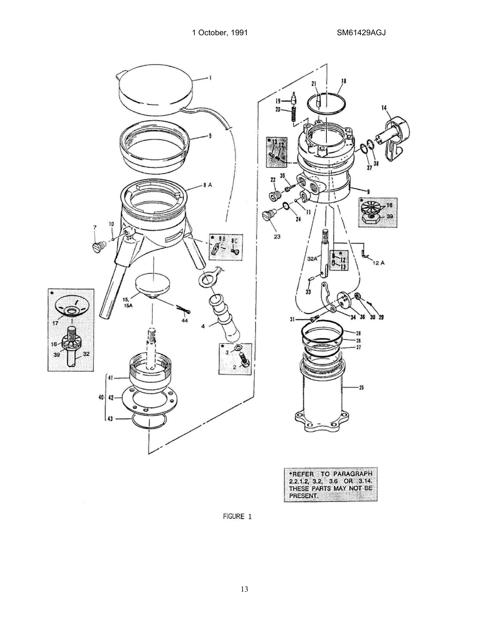

|                  | 21       | 18           |                |    |
|------------------|----------|--------------|----------------|----|
|                  |          |              |                |    |
| 19-<br>20.       |          |              |                | 14 |
| Hanna            |          |              |                |    |
|                  |          |              |                |    |
|                  |          |              | E,             |    |
|                  |          |              |                |    |
|                  |          |              | 38<br>37       |    |
| 35               |          |              |                |    |
| $22 \frac{2}{3}$ |          |              |                |    |
| $\circledcirc$   |          | ١            | q              |    |
|                  | 11       |              |                | 16 |
| D<br>24          |          |              |                | 99 |
| 23               |          |              |                |    |
|                  |          |              |                |    |
|                  | 32A      |              | d              |    |
|                  |          |              | 12 A           |    |
|                  |          |              |                |    |
|                  | 33       | G)           |                |    |
|                  |          |              |                |    |
|                  | O        | 34           | 35<br>30<br>29 |    |
| 31.              |          |              |                |    |
|                  |          | 25           |                |    |
|                  |          | - 26<br>- 27 |                |    |
|                  |          |              |                |    |
|                  |          |              |                |    |
|                  |          |              | $-25$          |    |
|                  |          |              |                |    |
|                  |          |              |                |    |
| ල                |          |              |                |    |
|                  | $\delta$ | Ô            |                |    |
|                  |          |              |                |    |

| *REFER TO PARAGRAPH                                          |  |  |  |
|--------------------------------------------------------------|--|--|--|
| $\left[ 2.2.1.2, 3.2, 3.6 \right]$ OR $\left[ 3.14. \right]$ |  |  |  |
| THESE PARTS MAY NOT BE                                       |  |  |  |
| PRESENT.                                                     |  |  |  |

FIGURE 1